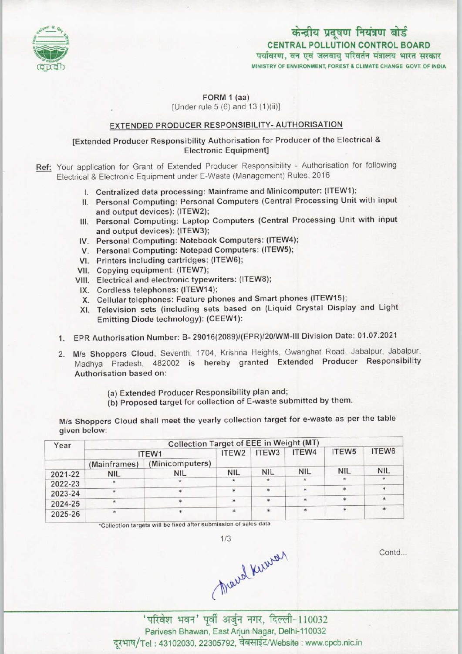

# केन्द्रीय प्रदूषण नियंत्रण बोर्ड CENTRAL POLLUTION CONTROL BOARD<br>पर्यावरण, वन एवं जलवायु परिवर्तन मंत्रालय भारत सरकार

MINISTRY OF ENVIRONMENT, FOREST & CLIMATE CHANGE GOVT. OF INDIA

FORM 1 (aa) [Under rule  $5(6)$  and  $13(1)(ii)$ ]

### EXTENDED PRODUCER RESPONSIBILITY- AUTHORISATION

### [Extended Producer Responsibility Authorisation for Producer of the Electrical & Electronic Equipment]

Ref: Your application for Grant of Extended Producer Responsibility - Authorisation for following Electrical & Electronic Equipment under E-Waste (Management) Rules, 2016

- I. Centralized data processing: Mainframe and Minicomputer: (ITEW1);
- II. Personal Computing: Personal Computers (Central Processing Unit with input and output devices): (ITEW2);
- III. Personal Computing: Laptop Computers (Central Processing Unit with input and output devices): (ITEW3);
- IV. Personal Computing: Notebook Computers: (ITEW4);
- V. Personal Computing: Notebook Computers: (ITEW4<br>V. Personal Computing: Notepad Computers: (ITEW5);
- V. Personal Computing: Notepad Computing cartridges: (ITEW6); VI. Printers including cartridges: (ITEW6);<br>VII. Copying equipment: (ITEW7);
- 
- VIM. Electrical and electronic typewriters: (ITEW8);
- IX. Cordless telephones: (ITEW14);
- X. Cellular telephones: Feature phones and Smart phones (ITEW15);
- XI. Television sets (including sets based on (Liquid Crystal Display and Light Emitting Diode technology): (CEEW1):
- 1.EPR Authorisation Number: B- 29016(2089)/(EPR)/20/WM-lll Division Date: 01.07.2021
- 2. M/s Shoppers Cloud, Seventh, 1704, Krishna Heights, Gwarighat Road, Jabalpur, Jabalpur, Madhya Pradesh, 482002 is hereby granted Extended Producer Responsibility Authorisation based on:
	- (a)Extended Producer Responsibility plan and;
	- (b) Proposed target for collection of E-waste submitted by them.

M/s Shoppers Cloud shall meet the yearly collection target for e-waste as per the table given below:

| Year    | Collection Target of EEE in Weight (MT) |                 |                   |                   |            |                   |                   |  |  |  |
|---------|-----------------------------------------|-----------------|-------------------|-------------------|------------|-------------------|-------------------|--|--|--|
|         | ITEW1                                   |                 | ITEW <sub>2</sub> | ITEW <sub>3</sub> | ITEW4      | ITEW <sub>5</sub> | ITEW <sub>6</sub> |  |  |  |
|         | (Mainframes)                            | (Minicomputers) |                   |                   |            |                   |                   |  |  |  |
| 2021-22 | <b>NIL</b>                              | <b>NIL</b>      | <b>NIL</b>        | <b>NIL</b>        | <b>NIL</b> | <b>NIL</b>        | <b>NIL</b>        |  |  |  |
| 2022-23 | $\star$                                 |                 |                   | $\star$           | ÷.         | 安                 | $\star$           |  |  |  |
| 2023-24 | $\star$                                 |                 |                   | $\ast$            | sk.        | *                 |                   |  |  |  |
| 2024-25 | $\star$                                 |                 | 実                 | $\star$           | $\ast$     | *                 | $\ast$            |  |  |  |
| 2025-26 | $\star$                                 |                 |                   | $\ast$            | ×.         | $\star$           |                   |  |  |  |

'Collection targets will be fixed after submission of sales data

 $1/3$ 

Mary Kurrey

Contd...

'परिवेश भवन' पूर्वी अर्जुन नगर, दिल्ली-110032 Parivesh Bhawan, EastArjun Nagar, Delhi-110032 दरभाष/Tel: 43102030, 22305792, वेबसाईट/Website : www.cpcb.nic.in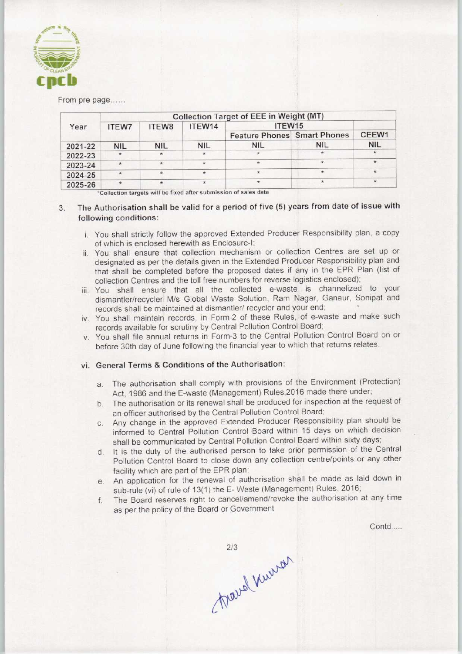

From pre page......

| Year    | <b>Collection Target of EEE in Weight (MT)</b> |            |            |                                    |            |            |  |  |  |  |  |
|---------|------------------------------------------------|------------|------------|------------------------------------|------------|------------|--|--|--|--|--|
|         | <b>ITEW7</b>                                   | ITEW8      | ITEW14     | ITEW <sub>15</sub>                 |            |            |  |  |  |  |  |
|         |                                                |            |            | <b>Feature Phones</b> Smart Phones |            | CEEW1      |  |  |  |  |  |
| 2021-22 | <b>NIL</b>                                     | <b>NIL</b> | <b>NIL</b> | <b>NIL</b>                         | <b>NIL</b> | <b>NIL</b> |  |  |  |  |  |
| 2022-23 | $\star$                                        | $\star$    |            |                                    |            |            |  |  |  |  |  |
| 2023-24 |                                                | $\star$    | $\star$    | *                                  |            | $\star$    |  |  |  |  |  |
| 2024-25 |                                                | $\star$    |            |                                    |            | 壹          |  |  |  |  |  |
| 2025-26 | ×                                              |            |            |                                    |            |            |  |  |  |  |  |

'Collection targets will be fixed after submission of sales data \*

## 3. The Authorisation shall be valid for a period of five (5) years from date of issue with following conditions:

- i. You shall strictly follow the approved Extended Producer Responsibility plan, a copy of which is enclosed herewith as Enclosure-I;
- ii. You shall ensure that collection mechanism or collection Centres are set up or designated as per the details given in the Extended Producer Responsibility plan and that shall be completed before the proposed dates if any in the EPR Plan (list of collection Centres and the toll free numbers for reverse logistics enclosed);
- iii. You shall ensure that all the collected e-waste is channelized to your dismantler/recycler M/s Global Waste Solution, Ram Nagar, Ganaur, Sonipat and records shall be maintained at dismantler/ recycler and your end;
- iv. You shall maintain records, in Form-2 of these Rules, of e-waste and make such records available for scrutiny by Central Pollution Control Board;
- v. You shall file annual returns in Form-3 to the Central Pollution Control Board on or before 30th day of June following the financial year to which that returns relates.

#### vi. General Terms & Conditions of the Authorisation:

- a.The authorisation shall comply with provisions of the Environment (Protection) Act, 1986 and the E-waste (Management) Rules,2016 made there under;
- b.The authorisation or its renewal shall be produced for inspection at the request of an officer authorised by the Central Pollution Control Board;
- c.Any change in the approved Extended Producer Responsibility plan should be informed to Central Pollution Control Board within 15 days on which decision shall be communicated by Central Pollution Control Board within sixty days;
- d. It is the duty of the authorised person to take prior permission of the Central Pollution Control Board to close down any collection centre/points or any other facility which are part of the EPR plan;
- e.An application for the renewal of authorisation shall be made as laid down in sub-rule (vi) of rule of 13(1) the E-Waste (Management) Rules, 2016;
- f.The Board reserves right to cancel/amend/revoke the authorisation at any time as perthe policy of the Board or Government

Contd....

 $2/3$ Marcel Knewar